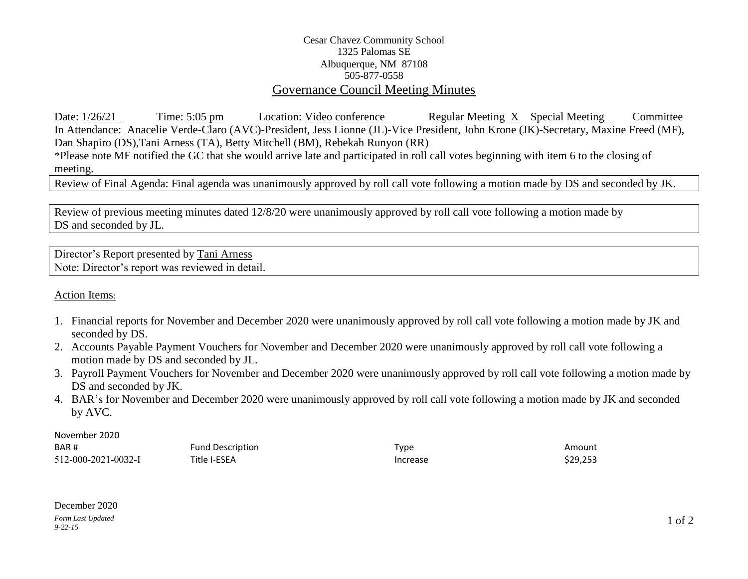## Cesar Chavez Community School 1325 Palomas SE Albuquerque, NM 87108 505-877-0558 Governance Council Meeting Minutes

Date:  $\frac{1}{26/21}$  Time: 5:05 pm Location: Video conference Regular Meeting X Special Meeting Committee In Attendance: Anacelie Verde-Claro (AVC)-President, Jess Lionne (JL)-Vice President, John Krone (JK)-Secretary, Maxine Freed (MF), Dan Shapiro (DS),Tani Arness (TA), Betty Mitchell (BM), Rebekah Runyon (RR)

\*Please note MF notified the GC that she would arrive late and participated in roll call votes beginning with item 6 to the closing of meeting.

Review of Final Agenda: Final agenda was unanimously approved by roll call vote following a motion made by DS and seconded by JK.

Review of previous meeting minutes dated 12/8/20 were unanimously approved by roll call vote following a motion made by DS and seconded by JL.

Director's Report presented by Tani Arness Note: Director's report was reviewed in detail.

Action Items:

- 1. Financial reports for November and December 2020 were unanimously approved by roll call vote following a motion made by JK and seconded by DS.
- 2. Accounts Payable Payment Vouchers for November and December 2020 were unanimously approved by roll call vote following a motion made by DS and seconded by JL.
- 3. Payroll Payment Vouchers for November and December 2020 were unanimously approved by roll call vote following a motion made by DS and seconded by JK.
- 4. BAR's for November and December 2020 were unanimously approved by roll call vote following a motion made by JK and seconded by AVC.

November 2020

| BAR#                | Fund Description | Type     | Amount   |
|---------------------|------------------|----------|----------|
| 512-000-2021-0032-I | Title I-ESEA     | Increase | \$29,253 |

*Form Last Updated 9-22-15* December 2020